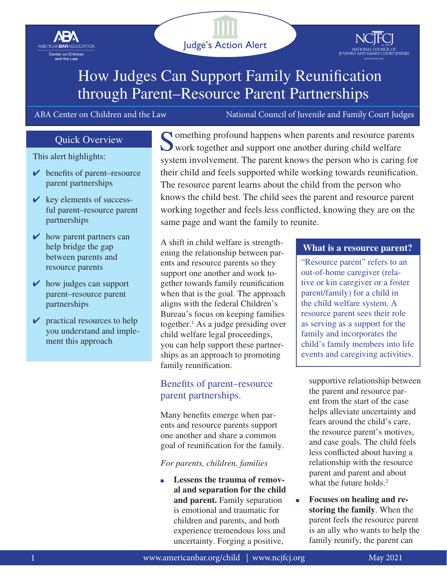<span id="page-0-0"></span>

and the Law



# How Judges Can Support Family Reunification through Parent–Resource Parent Partnerships

ABA Center on Children and the Law National Council of Juvenile and Family Court Judges

### Quick Overview

This alert highlights:

- $\vee$  benefits of parent–resource parent partnerships
- $\vee$  key elements of successful parent–resource parent partnerships
- $\vee$  how parent partners can help bridge the gap between parents and resource parents
- $\vee$  how judges can support parent–resource parent partnerships
- $\triangleright$  practical resources to help you understand and implement this approach

Something profound happens when parents and resource parents work together and support one another during child welfare system involvement. The parent knows the person who is caring for their child and feels supported while working towards reunification. The resource parent learns about the child from the person who knows the child best. The child sees the parent and resource parent working together and feels less conflicted, knowing they are on the same page and want the family to reunite.

A shift in child welfare is strengthening the relationship between parents and resource parents so they support one another and work together towards family reunification when that is the goal. The approach aligns with the federal Children's Bureau's focus on keeping families together[.1](#page-5-0) As a judge presiding over child welfare legal proceedings, you can help support these partnerships as an approach to promoting family reunification.

### Benefits of parent–resource parent partnerships.

Many benefits emerge when parents and resource parents support one another and share a common goal of reunification for the family.

*For parents, children, families*

Lessens the trauma of remov**al and separation for the child and parent.** Family separation is emotional and traumatic for children and parents, and both experience tremendous loss and uncertainty. Forging a positive,

### **What is a resource parent?**

"Resource parent" refers to an out-of-home caregiver (relative or kin caregiver or a foster parent/family) for a child in the child welfare system. A resource parent sees their role as serving as a support for the family and incorporates the child's family members into life events and caregiving activities.

supportive relationship between the parent and resource parent from the start of the case helps alleviate uncertainty and fears around the child's care, the resource parent's motives, and case goals. The child feels less conflicted about having a relationship with the resource parent and parent and about what the future holds.<sup>2</sup>

■ **Focuses on healing and restoring the family**. When the parent feels the resource parent is an ally who wants to help the family reunify, the parent can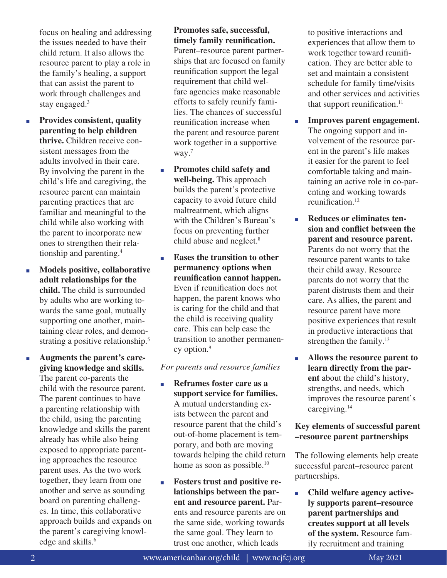<span id="page-1-0"></span>focus on healing and addressing the issues needed to have their child return. It also allows the resource parent to play a role in the family's healing, a support that can assist the parent to work through challenges and stay engaged.<sup>3</sup>

- Provides consistent, quality **parenting to help children thrive.** Children receive consistent messages from the adults involved in their care. By involving the parent in the child's life and caregiving, the resource parent can maintain parenting practices that are familiar and meaningful to the child while also working with the parent to incorporate new ones to strengthen their relationship and parenting[.4](#page-5-0)
- **Models positive, collaborative adult relationships for the child.** The child is surrounded by adults who are working towards the same goal, mutually supporting one another, maintaining clear roles, and demon-strating a positive relationship.<sup>[5](#page-5-0)</sup>
- **Augments the parent's caregiving knowledge and skills.**  The parent co-parents the child with the resource parent. The parent continues to have a parenting relationship with the child, using the parenting knowledge and skills the parent already has while also being exposed to appropriate parenting approaches the resource parent uses. As the two work together, they learn from one another and serve as sounding board on parenting challenges. In time, this collaborative approach builds and expands on the parent's caregiving knowledge and skills.<sup>6</sup>

### **Promotes safe, successful, timely family reunification.**

Parent–resource parent partnerships that are focused on family reunification support the legal requirement that child welfare agencies make reasonable efforts to safely reunify families. The chances of successful reunification increase when the parent and resource parent work together in a supportive way.<sup>[7](#page-5-0)</sup>

- **Promotes child safety and well-being.** This approach builds the parent's protective capacity to avoid future child maltreatment, which aligns with the Children's Bureau's focus on preventing further child abuse and neglect.<sup>8</sup>
- **Eases the transition to other permanency options when reunification cannot happen.** Even if reunification does not happen, the parent knows who is caring for the child and that the child is receiving quality care. This can help ease the transition to another permanen-cy option.<sup>[9](#page-5-0)</sup>

### *For parents and resource families*

- **Reframes foster care as a support service for families.** A mutual understanding exists between the parent and resource parent that the child's out-of-home placement is temporary, and both are moving towards helping the child return home as soon as possible.<sup>[10](#page-5-0)</sup>
- **Fosters trust and positive relationships between the parent and resource parent.** Parents and resource parents are on the same side, working towards the same goal. They learn to trust one another, which leads

to positive interactions and experiences that allow them to work together toward reunification. They are better able to set and maintain a consistent schedule for family time/visits and other services and activities that support reunification. $^{11}$ 

- **Improves parent engagement.** The ongoing support and involvement of the resource parent in the parent's life makes it easier for the parent to feel comfortable taking and maintaining an active role in co-parenting and working towards reunification.<sup>[12](#page-5-0)</sup>
- **Reduces or eliminates tension and conflict between the parent and resource parent.**  Parents do not worry that the resource parent wants to take their child away. Resource parents do not worry that the parent distrusts them and their care. As allies, the parent and resource parent have more positive experiences that result in productive interactions that strengthen the family.<sup>[13](#page-5-0)</sup>
- **Allows the resource parent to learn directly from the parent** about the child's history, strengths, and needs, which improves the resource parent's caregiving.[14](#page-5-0)

### **Key elements of successful parent –resource parent partnerships**

The following elements help create successful parent–resource parent partnerships.

■ **Child welfare agency actively supports parent–resource parent partnerships and creates support at all levels of the system.** Resource family recruitment and training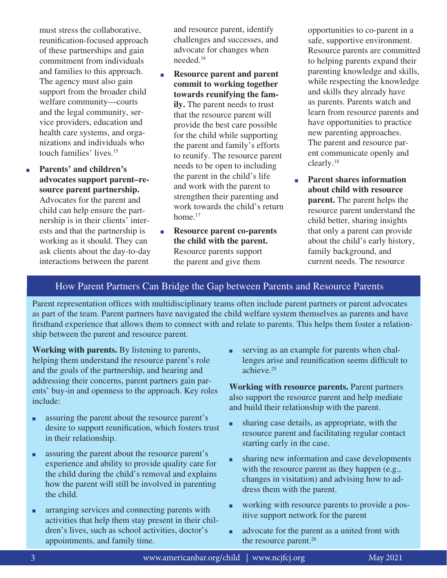<span id="page-2-0"></span>must stress the collaborative, reunification-focused approach of these partnerships and gain commitment from individuals and families to this approach. The agency must also gain support from the broader child welfare community—courts and the legal community, service providers, education and health care systems, and organizations and individuals who touch families' lives.[15](#page-5-0)

■ **Parents' and children's advocates support parent–resource parent partnership.** Advocates for the parent and child can help ensure the partnership is in their clients' interests and that the partnership is working as it should. They can ask clients about the day-to-day interactions between the parent

and resource parent, identify challenges and successes, and advocate for changes when needed.[16](#page-5-0)

- **Resource parent and parent commit to working together towards reunifying the family.** The parent needs to trust that the resource parent will provide the best care possible for the child while supporting the parent and family's efforts to reunify. The resource parent needs to be open to including the parent in the child's life and work with the parent to strengthen their parenting and work towards the child's return home.<sup>[17](#page-5-0)</sup>
- **Resource parent co-parents the child with the parent.**  Resource parents support the parent and give them

opportunities to co-parent in a safe, supportive environment. Resource parents are committed to helping parents expand their parenting knowledge and skills, while respecting the knowledge and skills they already have as parents. Parents watch and learn from resource parents and have opportunities to practice new parenting approaches. The parent and resource parent communicate openly and clearly.[18](#page-5-0)

■ **Parent shares information about child with resource parent.** The parent helps the resource parent understand the child better, sharing insights that only a parent can provide about the child's early history, family background, and current needs. The resource

### How Parent Partners Can Bridge the Gap between Parents and Resource Parents

Parent representation offices with multidisciplinary teams often include parent partners or parent advocates as part of the team. Parent partners have navigated the child welfare system themselves as parents and have firsthand experience that allows them to connect with and relate to parents. This helps them foster a relationship between the parent and resource parent.

**Working with parents.** By listening to parents, helping them understand the resource parent's role and the goals of the partnership, and hearing and addressing their concerns, parent partners gain parents' buy-in and openness to the approach. Key roles include:

- assuring the parent about the resource parent's desire to support reunification, which fosters trust in their relationship.
- assuring the parent about the resource parent's experience and ability to provide quality care for the child during the child's removal and explains how the parent will still be involved in parenting the child.
- arranging services and connecting parents with activities that help them stay present in their children's lives, such as school activities, doctor's appointments, and family time.

■ serving as an example for parents when challenges arise and reunification seems difficult to achieve.[25](#page-5-0)

**Working with resource parents.** Parent partners also support the resource parent and help mediate and build their relationship with the parent.

- sharing case details, as appropriate, with the resource parent and facilitating regular contact starting early in the case.
- sharing new information and case developments with the resource parent as they happen (e.g., changes in visitation) and advising how to address them with the parent.
- working with resource parents to provide a positive support network for the parent
- advocate for the parent as a united front with the resource parent.<sup>26</sup>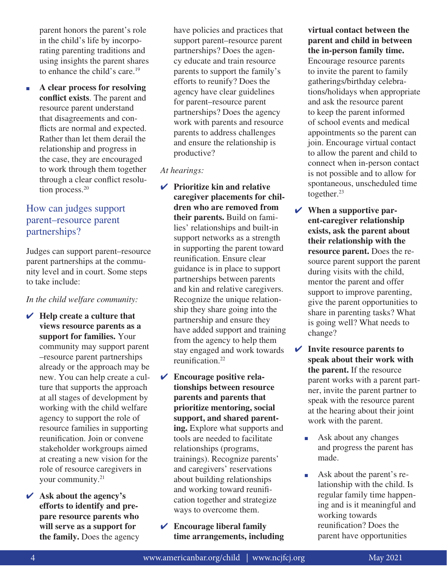<span id="page-3-0"></span>parent honors the parent's role in the child's life by incorporating parenting traditions and using insights the parent shares to enhance the child's care.<sup>[19](#page-5-0)</sup>

■ **A clear process for resolving conflict exists**. The parent and resource parent understand that disagreements and conflicts are normal and expected. Rather than let them derail the relationship and progress in the case, they are encouraged to work through them together through a clear conflict resolu-tion process.<sup>[20](#page-5-0)</sup>

## How can judges support parent–resource parent partnerships?

Judges can support parent–resource parent partnerships at the community level and in court. Some steps to take include:

#### *In the child welfare community:*

- ✔ **Help create a culture that views resource parents as a support for families.** Your community may support parent –resource parent partnerships already or the approach may be new. You can help create a culture that supports the approach at all stages of development by working with the child welfare agency to support the role of resource families in supporting reunification. Join or convene stakeholder workgroups aimed at creating a new vision for the role of resource caregivers in your community.<sup>[21](#page-5-0)</sup>
- ✔ **Ask about the agency's efforts to identify and prepare resource parents who will serve as a support for the family.** Does the agency

have policies and practices that support parent–resource parent partnerships? Does the agency educate and train resource parents to support the family's efforts to reunify? Does the agency have clear guidelines for parent–resource parent partnerships? Does the agency work with parents and resource parents to address challenges and ensure the relationship is productive?

### *At hearings:*

- ✔ **Prioritize kin and relative caregiver placements for children who are removed from their parents.** Build on families' relationships and built-in support networks as a strength in supporting the parent toward reunification. Ensure clear guidance is in place to support partnerships between parents and kin and relative caregivers. Recognize the unique relationship they share going into the partnership and ensure they have added support and training from the agency to help them stay engaged and work towards reunification.[22](#page-5-0)
- ✔ **Encourage positive relationships between resource parents and parents that prioritize mentoring, social support, and shared parenting.** Explore what supports and tools are needed to facilitate relationships (programs, trainings). Recognize parents' and caregivers' reservations about building relationships and working toward reunification together and strategize ways to overcome them.
- ✔ **Encourage liberal family time arrangements, including**

**virtual contact between the parent and child in between the in-person family time.**

Encourage resource parents to invite the parent to family gatherings/birthday celebrations/holidays when appropriate and ask the resource parent to keep the parent informed of school events and medical appointments so the parent can join. Encourage virtual contact to allow the parent and child to connect when in-person contact is not possible and to allow for spontaneous, unscheduled time together. $23$ 

- ✔ **When a supportive parent-caregiver relationship exists, ask the parent about their relationship with the resource parent.** Does the resource parent support the parent during visits with the child, mentor the parent and offer support to improve parenting, give the parent opportunities to share in parenting tasks? What is going well? What needs to change?
- ✔ **Invite resource parents to speak about their work with the parent.** If the resource parent works with a parent partner, invite the parent partner to speak with the resource parent at the hearing about their joint work with the parent.
	- Ask about any changes and progress the parent has made.
	- Ask about the parent's relationship with the child. Is regular family time happening and is it meaningful and working towards reunification? Does the parent have opportunities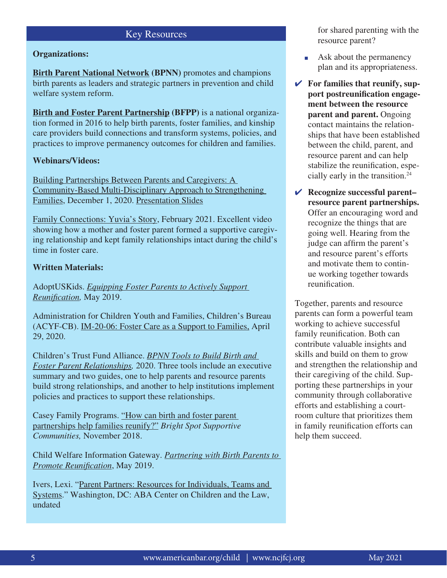#### Key Resources

#### <span id="page-4-0"></span>**Organizations:**

**[Birth Parent National Network](https://ctfalliance.org/partnering-with-parents/bpnn/) (BPNN)** promotes and champions birth parents as leaders and strategic partners in prevention and child welfare system reform.

**[Birth and Foster Parent Partnership](https://ctfalliance.org/partnering-with-parents/bfpp/) (BFPP)** is a national organization formed in 2016 to help birth parents, foster families, and kinship care providers build connections and transform systems, policies, and practices to improve permanency outcomes for children and families.

### **Webinars/Videos:**

[Building Partnerships Between Parents and Caregivers: A](https://www.youtube.com/watch?v=uaoxqmtJomk&t=15s)  [Community-Based Multi-Disciplinary Approach to Strengthening](https://www.youtube.com/watch?v=uaoxqmtJomk&t=15s)  [Families](https://www.youtube.com/watch?v=uaoxqmtJomk&t=15s), December 1, 2020. [Presentation Slides](https://www.americanbar.org/content/dam/aba/administrative/child_law/bfpp-webinar.pptx)

[Family Connections: Yuvia's Story](https://www.youtube.com/watch?v=bdTyJUO5Vqw), February 2021. Excellent video showing how a mother and foster parent formed a supportive caregiving relationship and kept family relationships intact during the child's time in foster care.

#### **Written Materials:**

AdoptUSKids. *[Equipping Foster Parents to Actively Support](https://www.adoptuskids.org/_assets/files/AUSK/Publications/equipping-foster-parents-to-support-reunification-web508.pdf)  [Reunification,](https://www.adoptuskids.org/_assets/files/AUSK/Publications/equipping-foster-parents-to-support-reunification-web508.pdf)* May 2019.

Administration for Children Youth and Families, Children's Bureau (ACYF-CB). [IM-20-06: Foster Care as a Support to Families,](https://www.americanbar.org/content/dam/aba/administrative/child_law/acyf-cb-im-20-06.pdf) April 29, 2020.

Children's Trust Fund Alliance. *[BPNN Tools to Build Birth and](https://ctfalliance.org/partnering-with-parents/bfpp/)  [Foster Parent Relationships](https://ctfalliance.org/partnering-with-parents/bfpp/),* 2020. Three tools include an executive summary and two guides, one to help parents and resource parents build strong relationships, and another to help institutions implement policies and practices to support these relationships.

Casey Family Programs. "How can birth and foster parent [partnerships help families reunify?"](https://www.americanbar.org/content/dam/aba/administrative/child_law/birth-fosterparent-partnerships.pdf) *Bright Spot Supportive Communities,* November 2018.

Child Welfare Information Gateway. *[Partnering with Birth Parents to](https://www.americanbar.org/content/dam/aba/administrative/child_law/factsheets_families_partnerships.pdf)  [Promote Reunification](https://www.americanbar.org/content/dam/aba/administrative/child_law/factsheets_families_partnerships.pdf)*, May 2019.

Ivers, Lexi. ["Parent Partners: Resources for Individuals, Teams and](https://www.americanbar.org/content/dam/aba/administrative/child_law/parentrep/parentpartnerresources.pdf)  [Systems.](https://www.americanbar.org/content/dam/aba/administrative/child_law/parentrep/parentpartnerresources.pdf)" Washington, DC: ABA Center on Children and the Law, undated

for shared parenting with the resource parent?

- Ask about the permanency plan and its appropriateness.
- ✔ **For families that reunify, support postreunification engagement between the resource parent and parent.** Ongoing contact maintains the relationships that have been established between the child, parent, and resource parent and can help stabilize the reunification, especially early in the transition.[24](#page-5-0)
- ✔ **Recognize successful parent– resource parent partnerships.**  Offer an encouraging word and recognize the things that are going well. Hearing from the judge can affirm the parent's and resource parent's efforts and motivate them to continue working together towards reunification.

Together, parents and resource parents can form a powerful team working to achieve successful family reunification. Both can contribute valuable insights and skills and build on them to grow and strengthen the relationship and their caregiving of the child. Supporting these partnerships in your community through collaborative efforts and establishing a courtroom culture that prioritizes them in family reunification efforts can help them succeed.